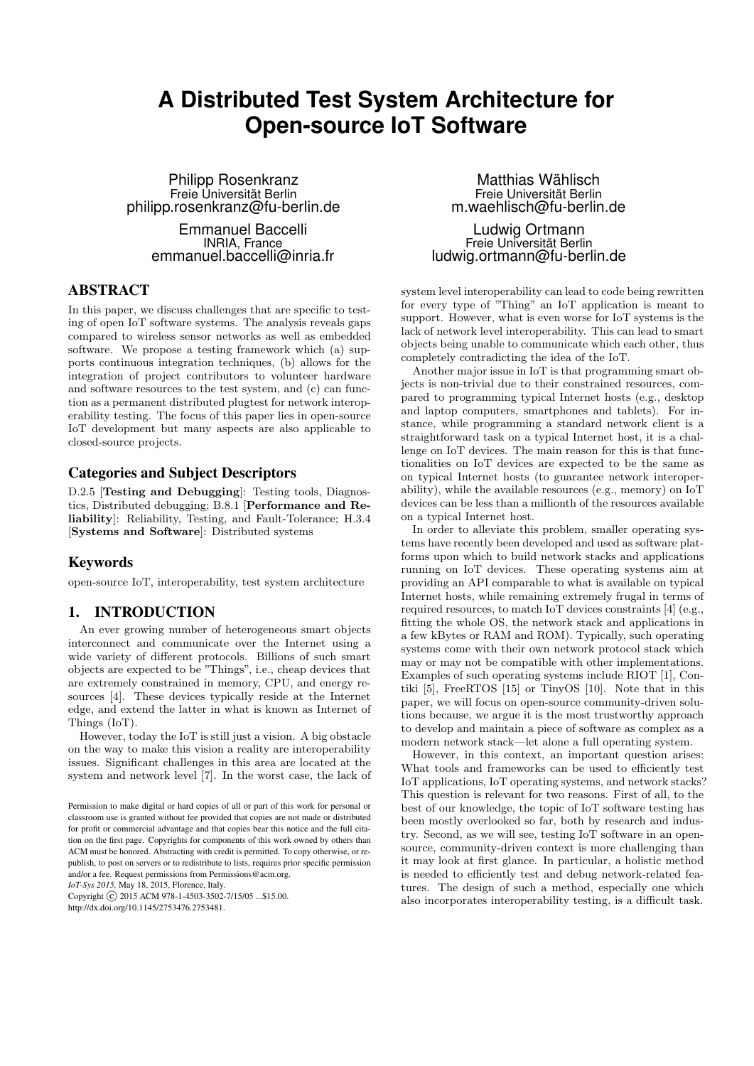# **A Distributed Test System Architecture for Open-source IoT Software**

Philipp Rosenkranz Freie Universität Berlin philipp.rosenkranz@fu-berlin.de

> Emmanuel Baccelli INRIA, France emmanuel.baccelli@inria.fr

#### ABSTRACT

In this paper, we discuss challenges that are specific to testing of open IoT software systems. The analysis reveals gaps compared to wireless sensor networks as well as embedded software. We propose a testing framework which (a) supports continuous integration techniques, (b) allows for the integration of project contributors to volunteer hardware and software resources to the test system, and (c) can function as a permanent distributed plugtest for network interoperability testing. The focus of this paper lies in open-source IoT development but many aspects are also applicable to closed-source projects.

#### Categories and Subject Descriptors

D.2.5 [Testing and Debugging]: Testing tools, Diagnostics, Distributed debugging; B.8.1 [Performance and Reliability]: Reliability, Testing, and Fault-Tolerance; H.3.4 [Systems and Software]: Distributed systems

## Keywords

open-source IoT, interoperability, test system architecture

## 1. INTRODUCTION

An ever growing number of heterogeneous smart objects interconnect and communicate over the Internet using a wide variety of different protocols. Billions of such smart objects are expected to be "Things", i.e., cheap devices that are extremely constrained in memory, CPU, and energy resources [4]. These devices typically reside at the Internet edge, and extend the latter in what is known as Internet of Things (IoT).

However, today the IoT is still just a vision. A big obstacle on the way to make this vision a reality are interoperability issues. Significant challenges in this area are located at the system and network level [7]. In the worst case, the lack of

*IoT-Sys 2015,* May 18, 2015, Florence, Italy.

Copyright (C) 2015 ACM 978-1-4503-3502-7/15/05 ...\$15.00. http://dx.doi.org/10.1145/2753476.2753481.

Matthias Wählisch Freie Universität Berlin m.waehlisch@fu-berlin.de

Ludwig Ortmann Freie Universität Berlin ludwig.ortmann@fu-berlin.de

system level interoperability can lead to code being rewritten for every type of "Thing" an IoT application is meant to support. However, what is even worse for IoT systems is the lack of network level interoperability. This can lead to smart objects being unable to communicate which each other, thus completely contradicting the idea of the IoT.

Another major issue in IoT is that programming smart objects is non-trivial due to their constrained resources, compared to programming typical Internet hosts (e.g., desktop and laptop computers, smartphones and tablets). For instance, while programming a standard network client is a straightforward task on a typical Internet host, it is a challenge on IoT devices. The main reason for this is that functionalities on IoT devices are expected to be the same as on typical Internet hosts (to guarantee network interoperability), while the available resources (e.g., memory) on IoT devices can be less than a millionth of the resources available on a typical Internet host.

In order to alleviate this problem, smaller operating systems have recently been developed and used as software platforms upon which to build network stacks and applications running on IoT devices. These operating systems aim at providing an API comparable to what is available on typical Internet hosts, while remaining extremely frugal in terms of required resources, to match IoT devices constraints [4] (e.g., fitting the whole OS, the network stack and applications in a few kBytes or RAM and ROM). Typically, such operating systems come with their own network protocol stack which may or may not be compatible with other implementations. Examples of such operating systems include RIOT [1], Contiki [5], FreeRTOS [15] or TinyOS [10]. Note that in this paper, we will focus on open-source community-driven solutions because, we argue it is the most trustworthy approach to develop and maintain a piece of software as complex as a modern network stack—let alone a full operating system.

However, in this context, an important question arises: What tools and frameworks can be used to efficiently test IoT applications, IoT operating systems, and network stacks? This question is relevant for two reasons. First of all, to the best of our knowledge, the topic of IoT software testing has been mostly overlooked so far, both by research and industry. Second, as we will see, testing IoT software in an opensource, community-driven context is more challenging than it may look at first glance. In particular, a holistic method is needed to efficiently test and debug network-related features. The design of such a method, especially one which also incorporates interoperability testing, is a difficult task.

Permission to make digital or hard copies of all or part of this work for personal or classroom use is granted without fee provided that copies are not made or distributed for profit or commercial advantage and that copies bear this notice and the full citation on the first page. Copyrights for components of this work owned by others than ACM must be honored. Abstracting with credit is permitted. To copy otherwise, or republish, to post on servers or to redistribute to lists, requires prior specific permission and/or a fee. Request permissions from Permissions@acm.org.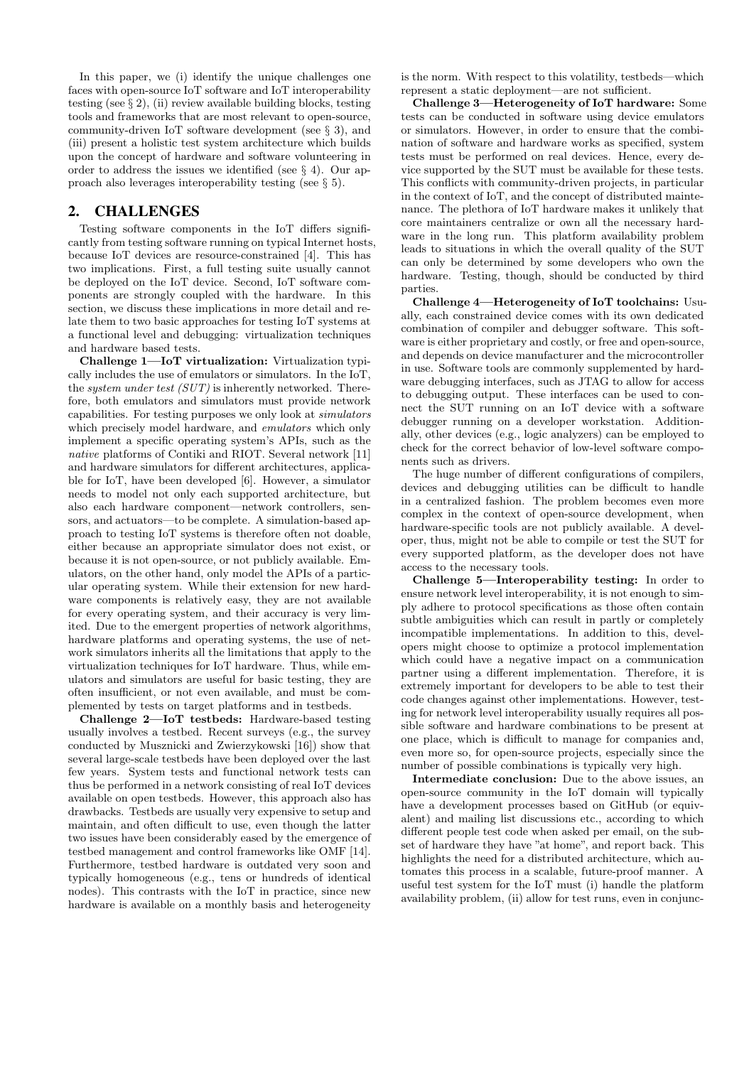In this paper, we (i) identify the unique challenges one faces with open-source IoT software and IoT interoperability testing (see § 2), (ii) review available building blocks, testing tools and frameworks that are most relevant to open-source, community-driven IoT software development (see § 3), and (iii) present a holistic test system architecture which builds upon the concept of hardware and software volunteering in order to address the issues we identified (see § 4). Our approach also leverages interoperability testing (see § 5).

#### 2. CHALLENGES

Testing software components in the IoT differs significantly from testing software running on typical Internet hosts, because IoT devices are resource-constrained [4]. This has two implications. First, a full testing suite usually cannot be deployed on the IoT device. Second, IoT software components are strongly coupled with the hardware. In this section, we discuss these implications in more detail and relate them to two basic approaches for testing IoT systems at a functional level and debugging: virtualization techniques and hardware based tests.

Challenge 1—IoT virtualization: Virtualization typically includes the use of emulators or simulators. In the IoT, the system under test (SUT) is inherently networked. Therefore, both emulators and simulators must provide network capabilities. For testing purposes we only look at simulators which precisely model hardware, and emulators which only implement a specific operating system's APIs, such as the native platforms of Contiki and RIOT. Several network [11] and hardware simulators for different architectures, applicable for IoT, have been developed [6]. However, a simulator needs to model not only each supported architecture, but also each hardware component—network controllers, sensors, and actuators—to be complete. A simulation-based approach to testing IoT systems is therefore often not doable, either because an appropriate simulator does not exist, or because it is not open-source, or not publicly available. Emulators, on the other hand, only model the APIs of a particular operating system. While their extension for new hardware components is relatively easy, they are not available for every operating system, and their accuracy is very limited. Due to the emergent properties of network algorithms, hardware platforms and operating systems, the use of network simulators inherits all the limitations that apply to the virtualization techniques for IoT hardware. Thus, while emulators and simulators are useful for basic testing, they are often insufficient, or not even available, and must be complemented by tests on target platforms and in testbeds.

Challenge 2—IoT testbeds: Hardware-based testing usually involves a testbed. Recent surveys (e.g., the survey conducted by Musznicki and Zwierzykowski [16]) show that several large-scale testbeds have been deployed over the last few years. System tests and functional network tests can thus be performed in a network consisting of real IoT devices available on open testbeds. However, this approach also has drawbacks. Testbeds are usually very expensive to setup and maintain, and often difficult to use, even though the latter two issues have been considerably eased by the emergence of testbed management and control frameworks like OMF [14]. Furthermore, testbed hardware is outdated very soon and typically homogeneous (e.g., tens or hundreds of identical nodes). This contrasts with the IoT in practice, since new hardware is available on a monthly basis and heterogeneity

is the norm. With respect to this volatility, testbeds—which represent a static deployment—are not sufficient.

Challenge 3—Heterogeneity of IoT hardware: Some tests can be conducted in software using device emulators or simulators. However, in order to ensure that the combination of software and hardware works as specified, system tests must be performed on real devices. Hence, every device supported by the SUT must be available for these tests. This conflicts with community-driven projects, in particular in the context of IoT, and the concept of distributed maintenance. The plethora of IoT hardware makes it unlikely that core maintainers centralize or own all the necessary hardware in the long run. This platform availability problem leads to situations in which the overall quality of the SUT can only be determined by some developers who own the hardware. Testing, though, should be conducted by third parties.

Challenge 4—Heterogeneity of IoT toolchains: Usually, each constrained device comes with its own dedicated combination of compiler and debugger software. This software is either proprietary and costly, or free and open-source, and depends on device manufacturer and the microcontroller in use. Software tools are commonly supplemented by hardware debugging interfaces, such as JTAG to allow for access to debugging output. These interfaces can be used to connect the SUT running on an IoT device with a software debugger running on a developer workstation. Additionally, other devices (e.g., logic analyzers) can be employed to check for the correct behavior of low-level software components such as drivers.

The huge number of different configurations of compilers, devices and debugging utilities can be difficult to handle in a centralized fashion. The problem becomes even more complex in the context of open-source development, when hardware-specific tools are not publicly available. A developer, thus, might not be able to compile or test the SUT for every supported platform, as the developer does not have access to the necessary tools.

Challenge 5—Interoperability testing: In order to ensure network level interoperability, it is not enough to simply adhere to protocol specifications as those often contain subtle ambiguities which can result in partly or completely incompatible implementations. In addition to this, developers might choose to optimize a protocol implementation which could have a negative impact on a communication partner using a different implementation. Therefore, it is extremely important for developers to be able to test their code changes against other implementations. However, testing for network level interoperability usually requires all possible software and hardware combinations to be present at one place, which is difficult to manage for companies and, even more so, for open-source projects, especially since the number of possible combinations is typically very high.

Intermediate conclusion: Due to the above issues, an open-source community in the IoT domain will typically have a development processes based on GitHub (or equivalent) and mailing list discussions etc., according to which different people test code when asked per email, on the subset of hardware they have "at home", and report back. This highlights the need for a distributed architecture, which automates this process in a scalable, future-proof manner. A useful test system for the IoT must (i) handle the platform availability problem, (ii) allow for test runs, even in conjunc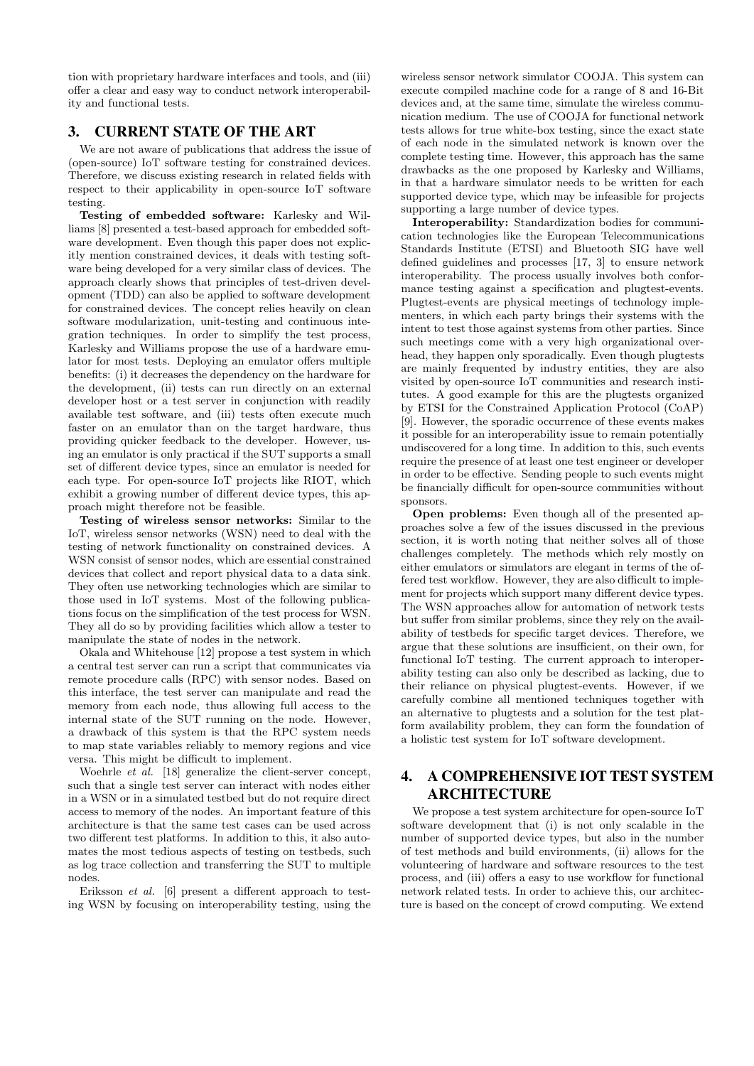tion with proprietary hardware interfaces and tools, and (iii) offer a clear and easy way to conduct network interoperability and functional tests.

## 3. CURRENT STATE OF THE ART

We are not aware of publications that address the issue of (open-source) IoT software testing for constrained devices. Therefore, we discuss existing research in related fields with respect to their applicability in open-source IoT software testing.

Testing of embedded software: Karlesky and Williams [8] presented a test-based approach for embedded software development. Even though this paper does not explicitly mention constrained devices, it deals with testing software being developed for a very similar class of devices. The approach clearly shows that principles of test-driven development (TDD) can also be applied to software development for constrained devices. The concept relies heavily on clean software modularization, unit-testing and continuous integration techniques. In order to simplify the test process, Karlesky and Williams propose the use of a hardware emulator for most tests. Deploying an emulator offers multiple benefits: (i) it decreases the dependency on the hardware for the development, (ii) tests can run directly on an external developer host or a test server in conjunction with readily available test software, and (iii) tests often execute much faster on an emulator than on the target hardware, thus providing quicker feedback to the developer. However, using an emulator is only practical if the SUT supports a small set of different device types, since an emulator is needed for each type. For open-source IoT projects like RIOT, which exhibit a growing number of different device types, this approach might therefore not be feasible.

Testing of wireless sensor networks: Similar to the IoT, wireless sensor networks (WSN) need to deal with the testing of network functionality on constrained devices. A WSN consist of sensor nodes, which are essential constrained devices that collect and report physical data to a data sink. They often use networking technologies which are similar to those used in IoT systems. Most of the following publications focus on the simplification of the test process for WSN. They all do so by providing facilities which allow a tester to manipulate the state of nodes in the network.

Okala and Whitehouse [12] propose a test system in which a central test server can run a script that communicates via remote procedure calls (RPC) with sensor nodes. Based on this interface, the test server can manipulate and read the memory from each node, thus allowing full access to the internal state of the SUT running on the node. However, a drawback of this system is that the RPC system needs to map state variables reliably to memory regions and vice versa. This might be difficult to implement.

Woehrle  $et \overline{al}$ . [18] generalize the client-server concept, such that a single test server can interact with nodes either in a WSN or in a simulated testbed but do not require direct access to memory of the nodes. An important feature of this architecture is that the same test cases can be used across two different test platforms. In addition to this, it also automates the most tedious aspects of testing on testbeds, such as log trace collection and transferring the SUT to multiple nodes.

Eriksson et al. [6] present a different approach to testing WSN by focusing on interoperability testing, using the

wireless sensor network simulator COOJA. This system can execute compiled machine code for a range of 8 and 16-Bit devices and, at the same time, simulate the wireless communication medium. The use of COOJA for functional network tests allows for true white-box testing, since the exact state of each node in the simulated network is known over the complete testing time. However, this approach has the same drawbacks as the one proposed by Karlesky and Williams, in that a hardware simulator needs to be written for each supported device type, which may be infeasible for projects supporting a large number of device types.

Interoperability: Standardization bodies for communication technologies like the European Telecommunications Standards Institute (ETSI) and Bluetooth SIG have well defined guidelines and processes [17, 3] to ensure network interoperability. The process usually involves both conformance testing against a specification and plugtest-events. Plugtest-events are physical meetings of technology implementers, in which each party brings their systems with the intent to test those against systems from other parties. Since such meetings come with a very high organizational overhead, they happen only sporadically. Even though plugtests are mainly frequented by industry entities, they are also visited by open-source IoT communities and research institutes. A good example for this are the plugtests organized by ETSI for the Constrained Application Protocol (CoAP) [9]. However, the sporadic occurrence of these events makes it possible for an interoperability issue to remain potentially undiscovered for a long time. In addition to this, such events require the presence of at least one test engineer or developer in order to be effective. Sending people to such events might be financially difficult for open-source communities without sponsors.

Open problems: Even though all of the presented approaches solve a few of the issues discussed in the previous section, it is worth noting that neither solves all of those challenges completely. The methods which rely mostly on either emulators or simulators are elegant in terms of the offered test workflow. However, they are also difficult to implement for projects which support many different device types. The WSN approaches allow for automation of network tests but suffer from similar problems, since they rely on the availability of testbeds for specific target devices. Therefore, we argue that these solutions are insufficient, on their own, for functional IoT testing. The current approach to interoperability testing can also only be described as lacking, due to their reliance on physical plugtest-events. However, if we carefully combine all mentioned techniques together with an alternative to plugtests and a solution for the test platform availability problem, they can form the foundation of a holistic test system for IoT software development.

# 4. A COMPREHENSIVE IOT TEST SYSTEM ARCHITECTURE

We propose a test system architecture for open-source IoT software development that (i) is not only scalable in the number of supported device types, but also in the number of test methods and build environments, (ii) allows for the volunteering of hardware and software resources to the test process, and (iii) offers a easy to use workflow for functional network related tests. In order to achieve this, our architecture is based on the concept of crowd computing. We extend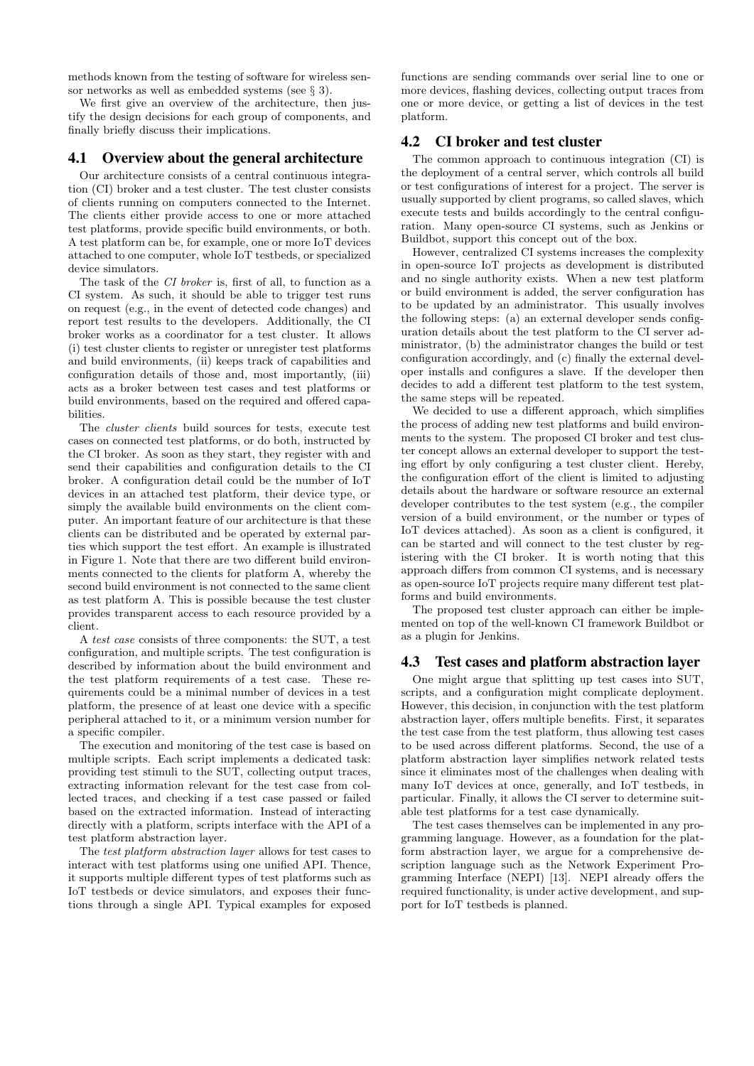methods known from the testing of software for wireless sensor networks as well as embedded systems (see § 3).

We first give an overview of the architecture, then justify the design decisions for each group of components, and finally briefly discuss their implications.

#### 4.1 Overview about the general architecture

Our architecture consists of a central continuous integration (CI) broker and a test cluster. The test cluster consists of clients running on computers connected to the Internet. The clients either provide access to one or more attached test platforms, provide specific build environments, or both. A test platform can be, for example, one or more IoT devices attached to one computer, whole IoT testbeds, or specialized device simulators.

The task of the CI broker is, first of all, to function as a CI system. As such, it should be able to trigger test runs on request (e.g., in the event of detected code changes) and report test results to the developers. Additionally, the CI broker works as a coordinator for a test cluster. It allows (i) test cluster clients to register or unregister test platforms and build environments, (ii) keeps track of capabilities and configuration details of those and, most importantly, (iii) acts as a broker between test cases and test platforms or build environments, based on the required and offered capabilities.

The cluster clients build sources for tests, execute test cases on connected test platforms, or do both, instructed by the CI broker. As soon as they start, they register with and send their capabilities and configuration details to the CI broker. A configuration detail could be the number of IoT devices in an attached test platform, their device type, or simply the available build environments on the client computer. An important feature of our architecture is that these clients can be distributed and be operated by external parties which support the test effort. An example is illustrated in Figure 1. Note that there are two different build environments connected to the clients for platform A, whereby the second build environment is not connected to the same client as test platform A. This is possible because the test cluster provides transparent access to each resource provided by a client.

A test case consists of three components: the SUT, a test configuration, and multiple scripts. The test configuration is described by information about the build environment and the test platform requirements of a test case. These requirements could be a minimal number of devices in a test platform, the presence of at least one device with a specific peripheral attached to it, or a minimum version number for a specific compiler.

The execution and monitoring of the test case is based on multiple scripts. Each script implements a dedicated task: providing test stimuli to the SUT, collecting output traces, extracting information relevant for the test case from collected traces, and checking if a test case passed or failed based on the extracted information. Instead of interacting directly with a platform, scripts interface with the API of a test platform abstraction layer.

The test platform abstraction layer allows for test cases to interact with test platforms using one unified API. Thence, it supports multiple different types of test platforms such as IoT testbeds or device simulators, and exposes their functions through a single API. Typical examples for exposed

functions are sending commands over serial line to one or more devices, flashing devices, collecting output traces from one or more device, or getting a list of devices in the test platform.

## 4.2 CI broker and test cluster

The common approach to continuous integration (CI) is the deployment of a central server, which controls all build or test configurations of interest for a project. The server is usually supported by client programs, so called slaves, which execute tests and builds accordingly to the central configuration. Many open-source CI systems, such as Jenkins or Buildbot, support this concept out of the box.

However, centralized CI systems increases the complexity in open-source IoT projects as development is distributed and no single authority exists. When a new test platform or build environment is added, the server configuration has to be updated by an administrator. This usually involves the following steps: (a) an external developer sends configuration details about the test platform to the CI server administrator, (b) the administrator changes the build or test configuration accordingly, and (c) finally the external developer installs and configures a slave. If the developer then decides to add a different test platform to the test system, the same steps will be repeated.

We decided to use a different approach, which simplifies the process of adding new test platforms and build environments to the system. The proposed CI broker and test cluster concept allows an external developer to support the testing effort by only configuring a test cluster client. Hereby, the configuration effort of the client is limited to adjusting details about the hardware or software resource an external developer contributes to the test system (e.g., the compiler version of a build environment, or the number or types of IoT devices attached). As soon as a client is configured, it can be started and will connect to the test cluster by registering with the CI broker. It is worth noting that this approach differs from common CI systems, and is necessary as open-source IoT projects require many different test platforms and build environments.

The proposed test cluster approach can either be implemented on top of the well-known CI framework Buildbot or as a plugin for Jenkins.

#### 4.3 Test cases and platform abstraction layer

One might argue that splitting up test cases into SUT, scripts, and a configuration might complicate deployment. However, this decision, in conjunction with the test platform abstraction layer, offers multiple benefits. First, it separates the test case from the test platform, thus allowing test cases to be used across different platforms. Second, the use of a platform abstraction layer simplifies network related tests since it eliminates most of the challenges when dealing with many IoT devices at once, generally, and IoT testbeds, in particular. Finally, it allows the CI server to determine suitable test platforms for a test case dynamically.

The test cases themselves can be implemented in any programming language. However, as a foundation for the platform abstraction layer, we argue for a comprehensive description language such as the Network Experiment Programming Interface (NEPI) [13]. NEPI already offers the required functionality, is under active development, and support for IoT testbeds is planned.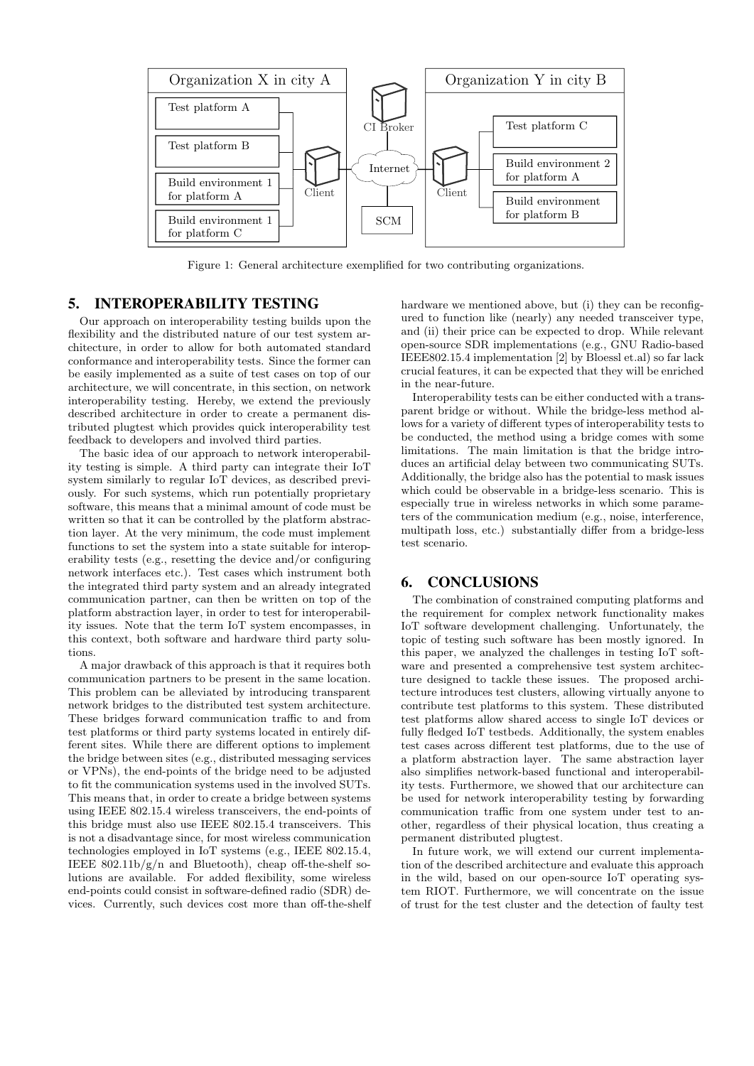

Figure 1: General architecture exemplified for two contributing organizations.

#### 5. INTEROPERABILITY TESTING

Our approach on interoperability testing builds upon the flexibility and the distributed nature of our test system architecture, in order to allow for both automated standard conformance and interoperability tests. Since the former can be easily implemented as a suite of test cases on top of our architecture, we will concentrate, in this section, on network interoperability testing. Hereby, we extend the previously described architecture in order to create a permanent distributed plugtest which provides quick interoperability test feedback to developers and involved third parties.

The basic idea of our approach to network interoperability testing is simple. A third party can integrate their IoT system similarly to regular IoT devices, as described previously. For such systems, which run potentially proprietary software, this means that a minimal amount of code must be written so that it can be controlled by the platform abstraction layer. At the very minimum, the code must implement functions to set the system into a state suitable for interoperability tests (e.g., resetting the device and/or configuring network interfaces etc.). Test cases which instrument both the integrated third party system and an already integrated communication partner, can then be written on top of the platform abstraction layer, in order to test for interoperability issues. Note that the term IoT system encompasses, in this context, both software and hardware third party solutions.

A major drawback of this approach is that it requires both communication partners to be present in the same location. This problem can be alleviated by introducing transparent network bridges to the distributed test system architecture. These bridges forward communication traffic to and from test platforms or third party systems located in entirely different sites. While there are different options to implement the bridge between sites (e.g., distributed messaging services or VPNs), the end-points of the bridge need to be adjusted to fit the communication systems used in the involved SUTs. This means that, in order to create a bridge between systems using IEEE 802.15.4 wireless transceivers, the end-points of this bridge must also use IEEE 802.15.4 transceivers. This is not a disadvantage since, for most wireless communication technologies employed in IoT systems (e.g., IEEE 802.15.4, IEEE 802.11b/g/n and Bluetooth), cheap off-the-shelf solutions are available. For added flexibility, some wireless end-points could consist in software-defined radio (SDR) devices. Currently, such devices cost more than off-the-shelf hardware we mentioned above, but (i) they can be reconfigured to function like (nearly) any needed transceiver type, and (ii) their price can be expected to drop. While relevant open-source SDR implementations (e.g., GNU Radio-based IEEE802.15.4 implementation [2] by Bloessl et.al) so far lack crucial features, it can be expected that they will be enriched in the near-future.

Interoperability tests can be either conducted with a transparent bridge or without. While the bridge-less method allows for a variety of different types of interoperability tests to be conducted, the method using a bridge comes with some limitations. The main limitation is that the bridge introduces an artificial delay between two communicating SUTs. Additionally, the bridge also has the potential to mask issues which could be observable in a bridge-less scenario. This is especially true in wireless networks in which some parameters of the communication medium (e.g., noise, interference, multipath loss, etc.) substantially differ from a bridge-less test scenario.

#### 6. CONCLUSIONS

The combination of constrained computing platforms and the requirement for complex network functionality makes IoT software development challenging. Unfortunately, the topic of testing such software has been mostly ignored. In this paper, we analyzed the challenges in testing IoT software and presented a comprehensive test system architecture designed to tackle these issues. The proposed architecture introduces test clusters, allowing virtually anyone to contribute test platforms to this system. These distributed test platforms allow shared access to single IoT devices or fully fledged IoT testbeds. Additionally, the system enables test cases across different test platforms, due to the use of a platform abstraction layer. The same abstraction layer also simplifies network-based functional and interoperability tests. Furthermore, we showed that our architecture can be used for network interoperability testing by forwarding communication traffic from one system under test to another, regardless of their physical location, thus creating a permanent distributed plugtest.

In future work, we will extend our current implementation of the described architecture and evaluate this approach in the wild, based on our open-source IoT operating system RIOT. Furthermore, we will concentrate on the issue of trust for the test cluster and the detection of faulty test